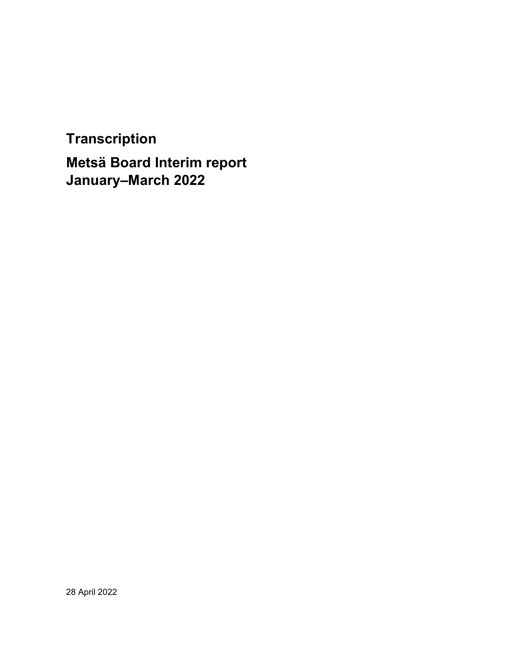# **Transcription**

Metsä Board Interim report January–March 2022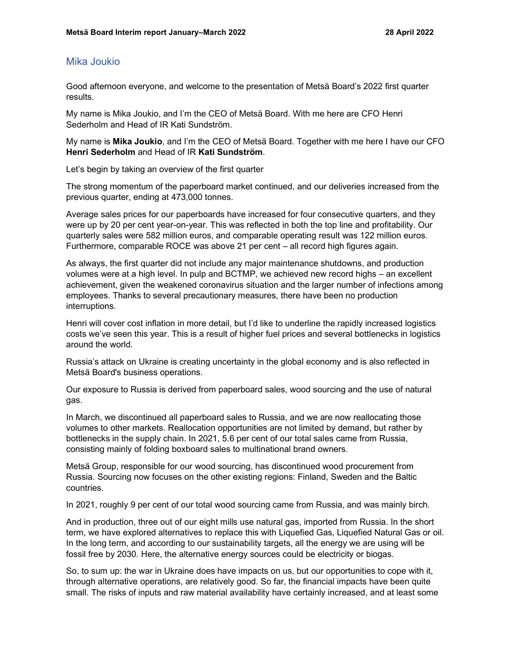# Mika Joukio

Good afternoon everyone, and welcome to the presentation of Metsä Board's 2022 first quarter results.

My name is Mika Joukio, and I'm the CEO of Metsä Board. With me here are CFO Henri Sederholm and Head of IR Kati Sundström.

My name is Mika Joukio, and I'm the CEO of Metsä Board. Together with me here I have our CFO Henri Sederholm and Head of IR Kati Sundström.

Let's begin by taking an overview of the first quarter

The strong momentum of the paperboard market continued, and our deliveries increased from the previous quarter, ending at 473,000 tonnes.

Average sales prices for our paperboards have increased for four consecutive quarters, and they were up by 20 per cent year-on-year. This was reflected in both the top line and profitability. Our quarterly sales were 582 million euros, and comparable operating result was 122 million euros. Furthermore, comparable ROCE was above 21 per cent – all record high figures again.

As always, the first quarter did not include any major maintenance shutdowns, and production volumes were at a high level. In pulp and BCTMP, we achieved new record highs – an excellent achievement, given the weakened coronavirus situation and the larger number of infections among employees. Thanks to several precautionary measures, there have been no production interruptions.

Henri will cover cost inflation in more detail, but I'd like to underline the rapidly increased logistics costs we've seen this year. This is a result of higher fuel prices and several bottlenecks in logistics around the world.

Russia's attack on Ukraine is creating uncertainty in the global economy and is also reflected in Metsä Board's business operations.

Our exposure to Russia is derived from paperboard sales, wood sourcing and the use of natural gas.

In March, we discontinued all paperboard sales to Russia, and we are now reallocating those volumes to other markets. Reallocation opportunities are not limited by demand, but rather by bottlenecks in the supply chain. In 2021, 5.6 per cent of our total sales came from Russia, consisting mainly of folding boxboard sales to multinational brand owners.

Metsä Group, responsible for our wood sourcing, has discontinued wood procurement from Russia. Sourcing now focuses on the other existing regions: Finland, Sweden and the Baltic countries.

In 2021, roughly 9 per cent of our total wood sourcing came from Russia, and was mainly birch.

And in production, three out of our eight mills use natural gas, imported from Russia. In the short term, we have explored alternatives to replace this with Liquefied Gas, Liquefied Natural Gas or oil. In the long term, and according to our sustainability targets, all the energy we are using will be fossil free by 2030. Here, the alternative energy sources could be electricity or biogas.

So, to sum up: the war in Ukraine does have impacts on us, but our opportunities to cope with it, through alternative operations, are relatively good. So far, the financial impacts have been quite small. The risks of inputs and raw material availability have certainly increased, and at least some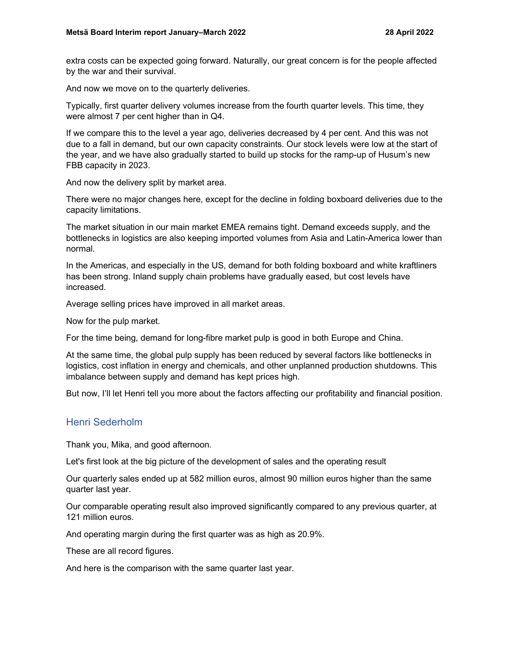extra costs can be expected going forward. Naturally, our great concern is for the people affected by the war and their survival.

And now we move on to the quarterly deliveries.

Typically, first quarter delivery volumes increase from the fourth quarter levels. This time, they were almost 7 per cent higher than in Q4.

If we compare this to the level a year ago, deliveries decreased by 4 per cent. And this was not due to a fall in demand, but our own capacity constraints. Our stock levels were low at the start of the year, and we have also gradually started to build up stocks for the ramp-up of Husum's new FBB capacity in 2023.

And now the delivery split by market area.

There were no major changes here, except for the decline in folding boxboard deliveries due to the capacity limitations.

The market situation in our main market EMEA remains tight. Demand exceeds supply, and the bottlenecks in logistics are also keeping imported volumes from Asia and Latin-America lower than normal.

In the Americas, and especially in the US, demand for both folding boxboard and white kraftliners has been strong. Inland supply chain problems have gradually eased, but cost levels have increased.

Average selling prices have improved in all market areas.

Now for the pulp market.

For the time being, demand for long-fibre market pulp is good in both Europe and China.

At the same time, the global pulp supply has been reduced by several factors like bottlenecks in logistics, cost inflation in energy and chemicals, and other unplanned production shutdowns. This imbalance between supply and demand has kept prices high.

But now, I'll let Henri tell you more about the factors affecting our profitability and financial position.

# Henri Sederholm

Thank you, Mika, and good afternoon.

Let's first look at the big picture of the development of sales and the operating result

Our quarterly sales ended up at 582 million euros, almost 90 million euros higher than the same quarter last year.

Our comparable operating result also improved significantly compared to any previous quarter, at 121 million euros.

And operating margin during the first quarter was as high as 20.9%.

These are all record figures.

And here is the comparison with the same quarter last year.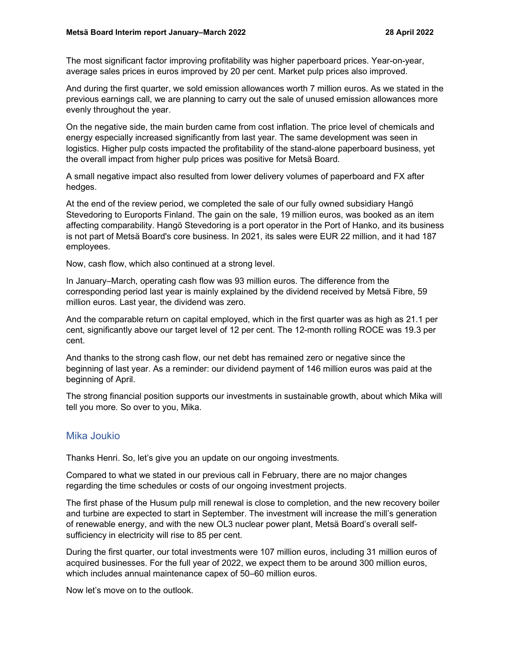The most significant factor improving profitability was higher paperboard prices. Year-on-year, average sales prices in euros improved by 20 per cent. Market pulp prices also improved.

And during the first quarter, we sold emission allowances worth 7 million euros. As we stated in the previous earnings call, we are planning to carry out the sale of unused emission allowances more evenly throughout the year.

On the negative side, the main burden came from cost inflation. The price level of chemicals and energy especially increased significantly from last year. The same development was seen in logistics. Higher pulp costs impacted the profitability of the stand-alone paperboard business, yet the overall impact from higher pulp prices was positive for Metsä Board.

A small negative impact also resulted from lower delivery volumes of paperboard and FX after hedges.

At the end of the review period, we completed the sale of our fully owned subsidiary Hangö Stevedoring to Euroports Finland. The gain on the sale, 19 million euros, was booked as an item affecting comparability. Hangö Stevedoring is a port operator in the Port of Hanko, and its business is not part of Metsä Board's core business. In 2021, its sales were EUR 22 million, and it had 187 employees.

Now, cash flow, which also continued at a strong level.

In January–March, operating cash flow was 93 million euros. The difference from the corresponding period last year is mainly explained by the dividend received by Metsä Fibre, 59 million euros. Last year, the dividend was zero.

And the comparable return on capital employed, which in the first quarter was as high as 21.1 per cent, significantly above our target level of 12 per cent. The 12-month rolling ROCE was 19.3 per cent.

And thanks to the strong cash flow, our net debt has remained zero or negative since the beginning of last year. As a reminder: our dividend payment of 146 million euros was paid at the beginning of April.

The strong financial position supports our investments in sustainable growth, about which Mika will tell you more. So over to you, Mika.

# Mika Joukio

Thanks Henri. So, let's give you an update on our ongoing investments.

Compared to what we stated in our previous call in February, there are no major changes regarding the time schedules or costs of our ongoing investment projects.

The first phase of the Husum pulp mill renewal is close to completion, and the new recovery boiler and turbine are expected to start in September. The investment will increase the mill's generation of renewable energy, and with the new OL3 nuclear power plant, Metsä Board's overall selfsufficiency in electricity will rise to 85 per cent.

During the first quarter, our total investments were 107 million euros, including 31 million euros of acquired businesses. For the full year of 2022, we expect them to be around 300 million euros, which includes annual maintenance capex of 50–60 million euros.

Now let's move on to the outlook.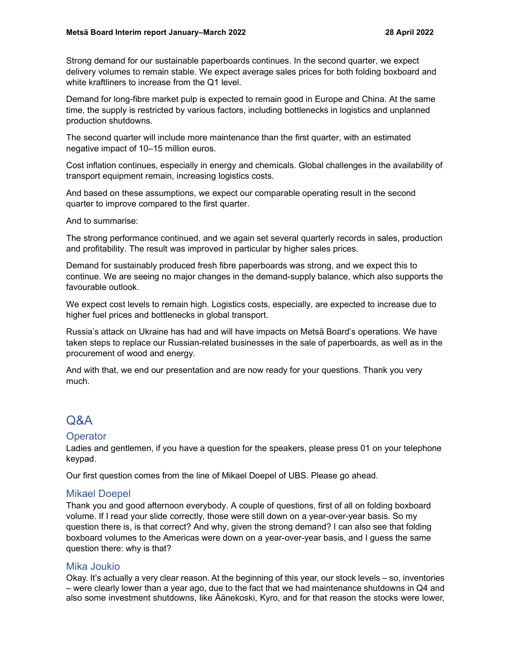Strong demand for our sustainable paperboards continues. In the second quarter, we expect delivery volumes to remain stable. We expect average sales prices for both folding boxboard and white kraftliners to increase from the Q1 level.

Demand for long-fibre market pulp is expected to remain good in Europe and China. At the same time, the supply is restricted by various factors, including bottlenecks in logistics and unplanned production shutdowns.

The second quarter will include more maintenance than the first quarter, with an estimated negative impact of 10–15 million euros.

Cost inflation continues, especially in energy and chemicals. Global challenges in the availability of transport equipment remain, increasing logistics costs.

And based on these assumptions, we expect our comparable operating result in the second quarter to improve compared to the first quarter.

And to summarise:

The strong performance continued, and we again set several quarterly records in sales, production and profitability. The result was improved in particular by higher sales prices.

Demand for sustainably produced fresh fibre paperboards was strong, and we expect this to continue. We are seeing no major changes in the demand-supply balance, which also supports the favourable outlook.

We expect cost levels to remain high. Logistics costs, especially, are expected to increase due to higher fuel prices and bottlenecks in global transport.

Russia's attack on Ukraine has had and will have impacts on Metsä Board's operations. We have taken steps to replace our Russian-related businesses in the sale of paperboards, as well as in the procurement of wood and energy.

And with that, we end our presentation and are now ready for your questions. Thank you very much.

# Q&A

### **Operator**

Ladies and gentlemen, if you have a question for the speakers, please press 01 on your telephone keypad.

Our first question comes from the line of Mikael Doepel of UBS. Please go ahead.

### Mikael Doepel

Thank you and good afternoon everybody. A couple of questions, first of all on folding boxboard volume. If I read your slide correctly, those were still down on a year-over-year basis. So my question there is, is that correct? And why, given the strong demand? I can also see that folding boxboard volumes to the Americas were down on a year-over-year basis, and I guess the same question there: why is that?

### Mika Joukio

Okay. It's actually a very clear reason. At the beginning of this year, our stock levels – so, inventories – were clearly lower than a year ago, due to the fact that we had maintenance shutdowns in Q4 and also some investment shutdowns, like Äänekoski, Kyro, and for that reason the stocks were lower,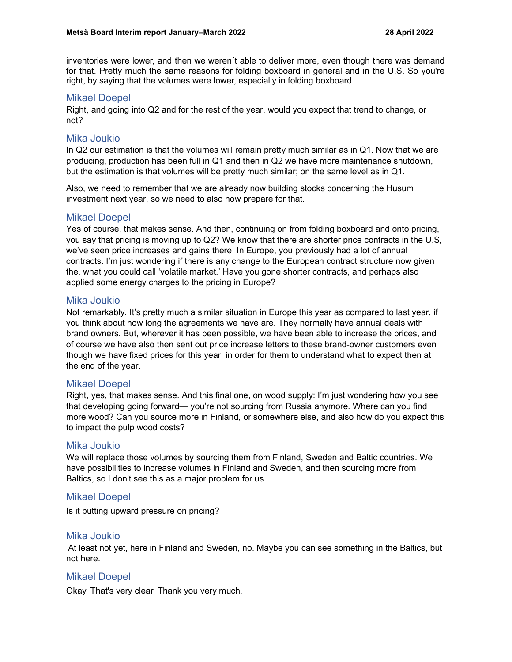inventories were lower, and then we weren´t able to deliver more, even though there was demand for that. Pretty much the same reasons for folding boxboard in general and in the U.S. So you're right, by saying that the volumes were lower, especially in folding boxboard.

# Mikael Doepel

Right, and going into Q2 and for the rest of the year, would you expect that trend to change, or not?

## Mika Joukio

In Q2 our estimation is that the volumes will remain pretty much similar as in Q1. Now that we are producing, production has been full in Q1 and then in Q2 we have more maintenance shutdown, but the estimation is that volumes will be pretty much similar; on the same level as in Q1.

Also, we need to remember that we are already now building stocks concerning the Husum investment next year, so we need to also now prepare for that.

# Mikael Doepel

Yes of course, that makes sense. And then, continuing on from folding boxboard and onto pricing, you say that pricing is moving up to Q2? We know that there are shorter price contracts in the U.S, we've seen price increases and gains there. In Europe, you previously had a lot of annual contracts. I'm just wondering if there is any change to the European contract structure now given the, what you could call 'volatile market.' Have you gone shorter contracts, and perhaps also applied some energy charges to the pricing in Europe?

# Mika Joukio

Not remarkably. It's pretty much a similar situation in Europe this year as compared to last year, if you think about how long the agreements we have are. They normally have annual deals with brand owners. But, wherever it has been possible, we have been able to increase the prices, and of course we have also then sent out price increase letters to these brand-owner customers even though we have fixed prices for this year, in order for them to understand what to expect then at the end of the year.

### Mikael Doepel

Right, yes, that makes sense. And this final one, on wood supply: I'm just wondering how you see that developing going forward— you're not sourcing from Russia anymore. Where can you find more wood? Can you source more in Finland, or somewhere else, and also how do you expect this to impact the pulp wood costs?

### Mika Joukio

We will replace those volumes by sourcing them from Finland, Sweden and Baltic countries. We have possibilities to increase volumes in Finland and Sweden, and then sourcing more from Baltics, so I don't see this as a major problem for us.

### Mikael Doepel

Is it putting upward pressure on pricing?

### Mika Joukio

At least not yet, here in Finland and Sweden, no. Maybe you can see something in the Baltics, but not here.

# Mikael Doepel

Okay. That's very clear. Thank you very much.